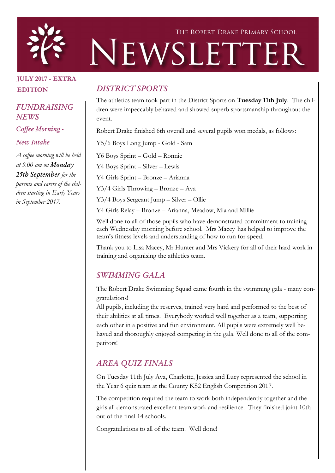

# THE ROBERT DRAKE PRIMARY SCHOOL NEWSLETTER

# JULY 2017 - EXTRA EDITION

*FUNDRAISING NEWS*

*Coffee Morning -*

*New Intake*

*A coffee morning will be held at 9.00 am on Monday 25th September for the parents and carers of the children starting in Early Years in September 2017.*

## *DISTRICT SPORTS*

The athletics team took part in the District Sports on Tuesday 11th July. The children were impeccably behaved and showed superb sportsmanship throughout the event.

Robert Drake finished 6th overall and several pupils won medals, as follows:

Y5/6 Boys Long Jump - Gold - Sam

Y6 Boys Sprint – Gold – Ronnie

Y4 Boys Sprint – Silver – Lewis

Y4 Girls Sprint – Bronze – Arianna

Y3/4 Girls Throwing – Bronze – Ava

Y3/4 Boys Sergeant Jump – Silver – Ollie

Y4 Girls Relay – Bronze – Arianna, Meadow, Mia and Millie

Well done to all of those pupils who have demonstrated commitment to training each Wednesday morning before school. Mrs Macey has helped to improve the team's fitness levels and understanding of how to run for speed.

Thank you to Lisa Macey, Mr Hunter and Mrs Vickery for all of their hard work in training and organising the athletics team.

# *SWIMMING GALA*

The Robert Drake Swimming Squad came fourth in the swimming gala - many congratulations!

All pupils, including the reserves, trained very hard and performed to the best of their abilities at all times. Everybody worked well together as a team, supporting each other in a positive and fun environment. All pupils were extremely well behaved and thoroughly enjoyed competing in the gala. Well done to all of the competitors!

# *AREA QUIZ FINALS*

On Tuesday 11th July Ava, Charlotte, Jessica and Lucy represented the school in the Year 6 quiz team at the County KS2 English Competition 2017.

The competition required the team to work both independently together and the girls all demonstrated excellent team work and resilience. They finished joint 10th out of the final 14 schools.

Congratulations to all of the team. Well done!